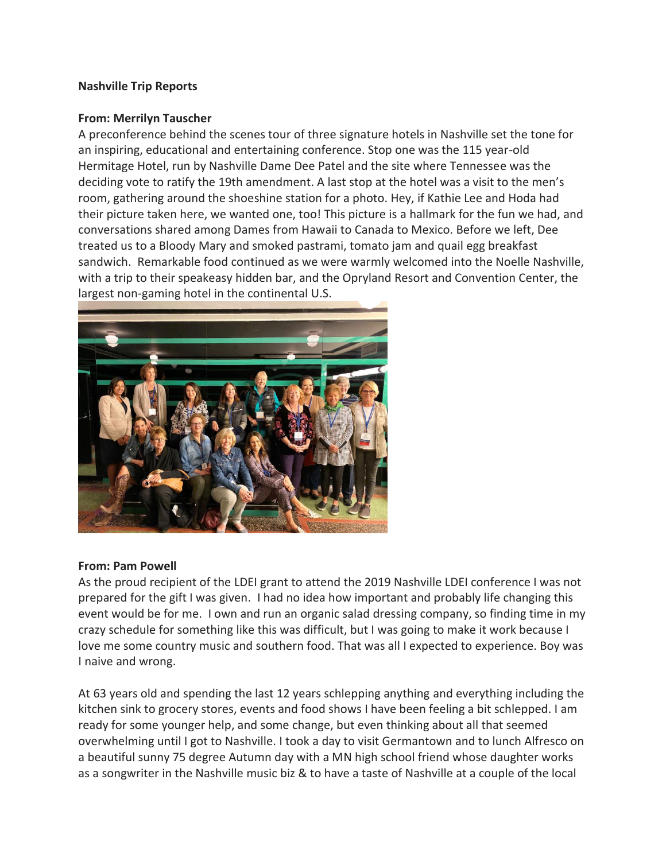## **Nashville Trip Reports**

## **From: Merrilyn Tauscher**

A preconference behind the scenes tour of three signature hotels in Nashville set the tone for an inspiring, educational and entertaining conference. Stop one was the 115 year-old Hermitage Hotel, run by Nashville Dame Dee Patel and the site where Tennessee was the deciding vote to ratify the 19th amendment. A last stop at the hotel was a visit to the men's room, gathering around the shoeshine station for a photo. Hey, if Kathie Lee and Hoda had their picture taken here, we wanted one, too! This picture is a hallmark for the fun we had, and conversations shared among Dames from Hawaii to Canada to Mexico. Before we left, Dee treated us to a Bloody Mary and smoked pastrami, tomato jam and quail egg breakfast sandwich. Remarkable food continued as we were warmly welcomed into the Noelle Nashville, with a trip to their speakeasy hidden bar, and the Opryland Resort and Convention Center, the largest non-gaming hotel in the continental U.S.



## **From: Pam Powell**

As the proud recipient of the LDEI grant to attend the 2019 Nashville LDEI conference I was not prepared for the gift I was given. I had no idea how important and probably life changing this event would be for me. I own and run an organic salad dressing company, so finding time in my crazy schedule for something like this was difficult, but I was going to make it work because I love me some country music and southern food. That was all I expected to experience. Boy was I naive and wrong.

At 63 years old and spending the last 12 years schlepping anything and everything including the kitchen sink to grocery stores, events and food shows I have been feeling a bit schlepped. I am ready for some younger help, and some change, but even thinking about all that seemed overwhelming until I got to Nashville. I took a day to visit Germantown and to lunch Alfresco on a beautiful sunny 75 degree Autumn day with a MN high school friend whose daughter works as a songwriter in the Nashville music biz & to have a taste of Nashville at a couple of the local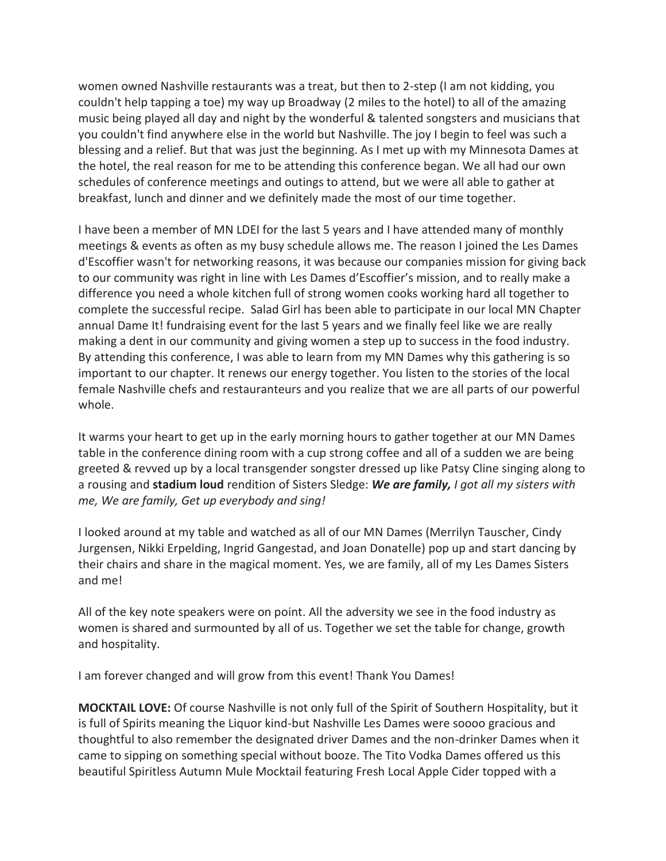women owned Nashville restaurants was a treat, but then to 2-step (I am not kidding, you couldn't help tapping a toe) my way up Broadway (2 miles to the hotel) to all of the amazing music being played all day and night by the wonderful & talented songsters and musicians that you couldn't find anywhere else in the world but Nashville. The joy I begin to feel was such a blessing and a relief. But that was just the beginning. As I met up with my Minnesota Dames at the hotel, the real reason for me to be attending this conference began. We all had our own schedules of conference meetings and outings to attend, but we were all able to gather at breakfast, lunch and dinner and we definitely made the most of our time together.

I have been a member of MN LDEI for the last 5 years and I have attended many of monthly meetings & events as often as my busy schedule allows me. The reason I joined the Les Dames d'Escoffier wasn't for networking reasons, it was because our companies mission for giving back to our community was right in line with Les Dames d'Escoffier's mission, and to really make a difference you need a whole kitchen full of strong women cooks working hard all together to complete the successful recipe. Salad Girl has been able to participate in our local MN Chapter annual Dame It! fundraising event for the last 5 years and we finally feel like we are really making a dent in our community and giving women a step up to success in the food industry. By attending this conference, I was able to learn from my MN Dames why this gathering is so important to our chapter. It renews our energy together. You listen to the stories of the local female Nashville chefs and restauranteurs and you realize that we are all parts of our powerful whole.

It warms your heart to get up in the early morning hours to gather together at our MN Dames table in the conference dining room with a cup strong coffee and all of a sudden we are being greeted & revved up by a local transgender songster dressed up like Patsy Cline singing along to a rousing and **stadium loud** rendition of Sisters Sledge: *We are family, I got all my sisters with me, We are family, Get up everybody and sing!* 

I looked around at my table and watched as all of our MN Dames (Merrilyn Tauscher, Cindy Jurgensen, Nikki Erpelding, Ingrid Gangestad, and Joan Donatelle) pop up and start dancing by their chairs and share in the magical moment. Yes, we are family, all of my Les Dames Sisters and me!

All of the key note speakers were on point. All the adversity we see in the food industry as women is shared and surmounted by all of us. Together we set the table for change, growth and hospitality.

I am forever changed and will grow from this event! Thank You Dames!

**MOCKTAIL LOVE:** Of course Nashville is not only full of the Spirit of Southern Hospitality, but it is full of Spirits meaning the Liquor kind-but Nashville Les Dames were soooo gracious and thoughtful to also remember the designated driver Dames and the non-drinker Dames when it came to sipping on something special without booze. The Tito Vodka Dames offered us this beautiful Spiritless Autumn Mule Mocktail featuring Fresh Local Apple Cider topped with a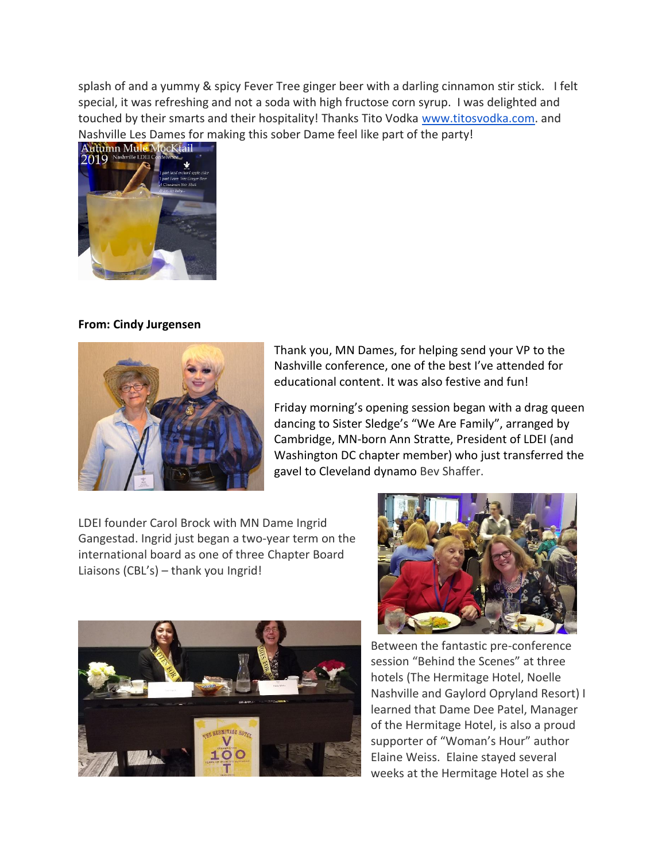splash of and a yummy & spicy Fever Tree ginger beer with a darling cinnamon stir stick. I felt special, it was refreshing and not a soda with high fructose corn syrup. I was delighted and touched by their smarts and their hospitality! Thanks Tito Vodka [www.titosvodka.com.](http://www.titosvodka.com/) and Nashville Les Dames for making this sober Dame feel like part of the party!



## **From: Cindy Jurgensen**



Thank you, MN Dames, for helping send your VP to the Nashville conference, one of the best I've attended for educational content. It was also festive and fun!

Friday morning's opening session began with a drag queen dancing to Sister Sledge's "We Are Family", arranged by Cambridge, MN-born Ann Stratte, President of LDEI (and Washington DC chapter member) who just transferred the gavel to Cleveland dynamo Bev Shaffer.

LDEI founder Carol Brock with MN Dame Ingrid Gangestad. Ingrid just began a two-year term on the international board as one of three Chapter Board Liaisons (CBL's) – thank you Ingrid!





Between the fantastic pre-conference session "Behind the Scenes" at three hotels (The Hermitage Hotel, Noelle Nashville and Gaylord Opryland Resort) I learned that Dame Dee Patel, Manager of the Hermitage Hotel, is also a proud supporter of "Woman's Hour" author Elaine Weiss. Elaine stayed several weeks at the Hermitage Hotel as she